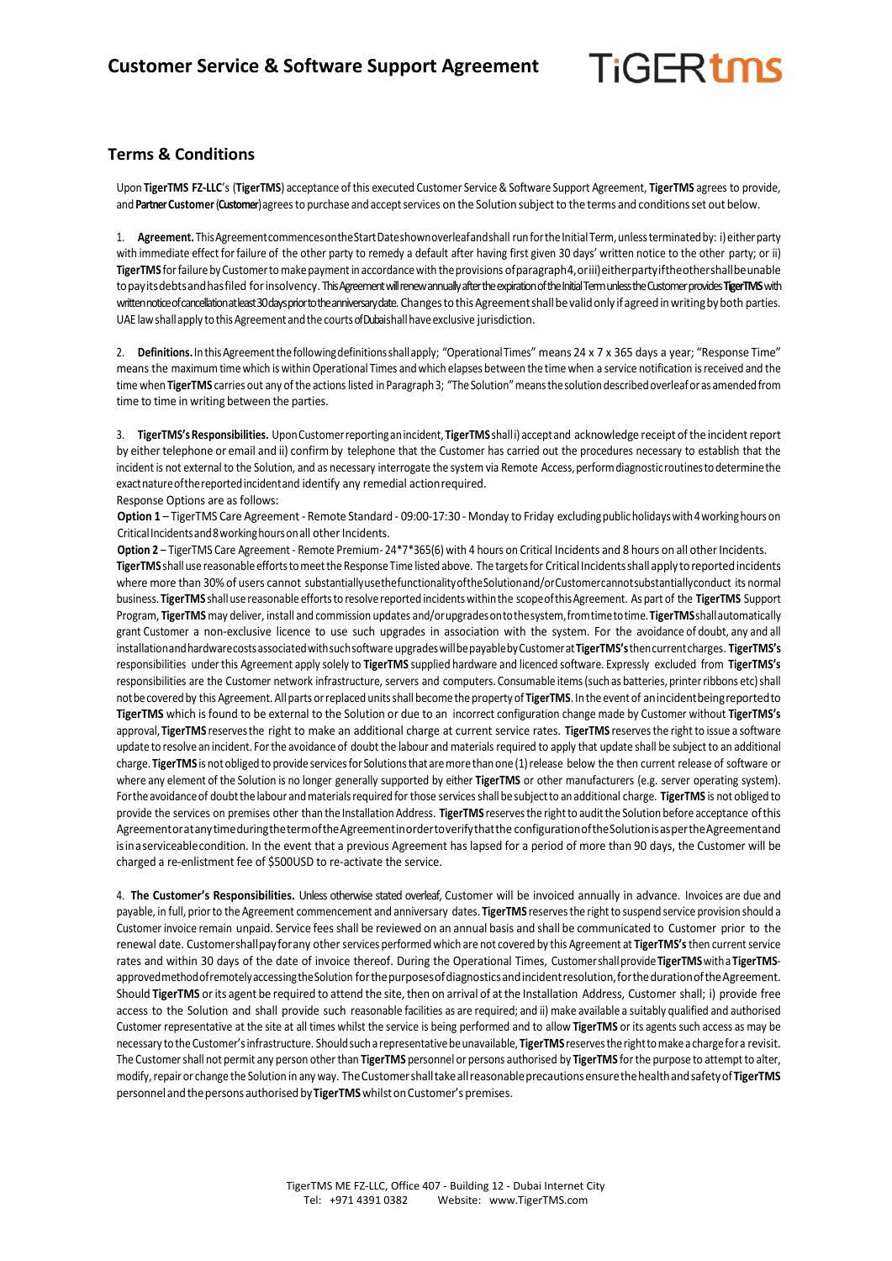## **TiGFRtms**

## **Terms & Conditions**

Upon **TigerTMS FZ-LLC**'s (**TigerTMS**) acceptance of this executed Customer Service& Software Support Agreement, **TigerTMS** agrees to provide, and Partner Customer (Customer) agrees to purchase and accept services on the Solution subject to the terms and conditions set out below.

1. Agreement. This Agreement commences on the Start Dateshown overleaf and shall run for the Initial Term, unless terminated by: i) either party with immediate effect forfailure of the other party to remedy a default after having first given 30 days' written notice to the other party; or ii) **TigerTMS** forfailureby Customertomakepaymentin accordancewith theprovisions ofparagraph4,oriii)eitherpartyiftheothershallbeunable topayitsdebtsandhasfiled forinsolvency. This Agreement will renew annually after the expiration of the Initial Term unless the Customer provides **TigerTMS**with written notice of cancellation at least 30 days prior to the anniversary date. Changes to this Agreement shall be valid only if agreed in writing by both parties. UAE law shall apply to this Agreement and the courts of Dubaishall have exclusive jurisdiction.

2. Definitions. In this Agreement the following definitions shall apply; "Operational Times" means 24 x 7 x 365 days a year; "Response Time" means the maximum timewhich is withinOperational Times andwhich elapses between the time when a service notification isreceived and the time when TigerTMS carries out any of the actions listed in Paragraph 3; "The Solution" means the solution described overleaf or as amended from time to time in writing between the parties.

3. **TigerTMS'sResponsibilities.** UponCustomerreportinganincident, **TigerTMS** shalli) acceptand acknowledge receipt ofthe incidentreport by either telephone or email and ii) confirm by telephone that the Customer has carried out the procedures necessary to establish that the incident is not external to the Solution, and as necessary interrogate the system via Remote Access, perform diagnostic routines to determine the exactnatureofthereportedincidentand identify any remedial actionrequired. Response Options are as follows:

**Option 1** – TigerTMS Care Agreement - Remote Standard - 09:00-17:30 - Monday to Friday excludingpublicholidayswith4workinghours on Critical Incidents and 8 working hours on all other Incidents.

Option 2 – TigerTMS Care Agreement - Remote Premium- 24\*7\*365(6) with 4 hours on Critical Incidents and 8 hours on all other Incidents. **TigerTMS** shallusereasonableeffortstomeetthe ResponseTime listed above. The targetsfor CriticalIncidentsshallapply toreportedincidents where more than 30% of users cannot substantiallyusethefunctionalityoftheSolutionand/orCustomercannotsubstantiallyconduct its normal business. **TigerTMS** shallusereasonable effortsto resolvereported incidentswithinthe scopeofthisAgreement. As part of the **TigerTMS** Support Program, **TigerTMS** may deliver, install and commission updates and/orupgradesontothesystem,fromtimetotime.**TigerTMS**shallautomatically grant Customer a non-exclusive licence to use such upgrades in association with the system. For the avoidance of doubt, any and all installationandhardwarecostsassociatedwithsuchsoftware upgradeswillbepayablebyCustomerat**TigerTMS's**thencurrentcharges. **TigerTMS's** responsibilities under this Agreement apply solely to **TigerTMS** supplied hardware and licenced software. Expressly excluded from **TigerTMS's** responsibilities are the Customer network infrastructure, servers and computers. Consumable items(such as batteries, printerribbons etc)shall notbecoveredby this Agreement. Allparts orreplaced unitsshall become the property of **TigerTMS**. In the eventof anincidentbeingreportedto **TigerTMS** which isfound to be external to the Solution or due to an incorrect configuration change made by Customer without **TigerTMS's** approval, **TigerTMS** reservesthe right to make an additional charge at current service rates. **TigerTMS** reservesthe right to issue a software update to resolve an incident. Forthe avoidance of doubt the labour and materials required to apply that update shall be subject to an additional charge. **TigerTMS** is notobliged to provide servicesfor Solutionsthat aremorethan one (1)release below the then current release of software or where any element of the Solution is no longer generally supported by either **TigerTMS** or other manufacturers (e.g. server operating system). For the avoidance of doubt the labour and materials required for those services shall be subject to an additional charge. TigerTMS is not obliged to provide the services on premises other than the Installation Address. **TigerTMS** reservesthe rightto auditthe Solution before acceptance ofthis AgreementoratanytimeduringthetermoftheAgreementinordertoverifythatthe configurationoftheSolutionisaspertheAgreementand isinaserviceablecondition. In the event that a previous Agreement has lapsed for a period of more than 90 days, the Customer will be charged a re-enlistment fee of \$500USD to re-activate the service.

4. **The Customer's Responsibilities.** Unless otherwise stated overleaf, Customer will be invoiced annually in advance. Invoices are due and payable, in full, priorto the Agreement commencement and anniversary dates. **TigerTMS** reservesthe rightto suspend service provision should a Customer invoice remain unpaid. Service feesshall be reviewed on an annual basis and shall be communicated to Customer prior to the renewal date. Customershallpayforany other services performed which are not covered by this Agreement at **TigerTMS's**then currentservice rates and within 30 days of the date of invoice thereof. During the Operational Times, Customershallprovide**TigerTMS**witha **TigerTMS**approved method of remotely accessing the Solution for the purposes of diagnostics and incident resolution, for the duration of the Agreement. Should **TigerTMS** or its agent be required to attend the site, then on arrival of atthe Installation Address, Customer shall; i) provide free access to the Solution and shall provide such reasonable facilities as are required; and ii) make available a suitably qualified and authorised Customer representative at the site at all times whilst the service is being performed and to allow **TigerTMS** or its agents such access as may be necessary to the Customer's infrastructure. Should such a representative be unavailable, **TigerTMS** reserves the right to make a charge for a revisit. The Customer shall not permit any person other than TigerTMS personnel or persons authorised by TigerTMS for the purpose to attempt to alter, modify,repair or change the Solution in any way. TheCustomershalltakeallreasonableprecautionsensurethehealthandsafetyof**TigerTMS** personnelandthepersons authorised by**TigerTMS**whilstonCustomer's premises.